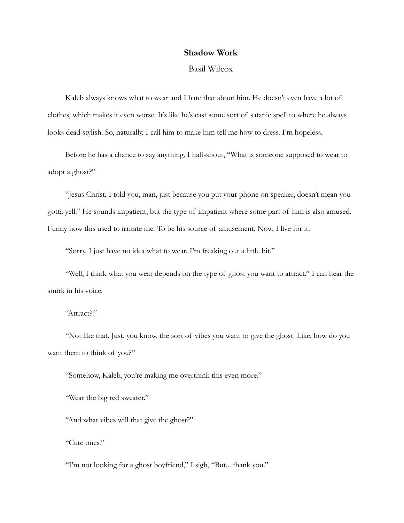## **Shadow Work**

## Basil Wilcox

Kaleb always knows what to wear and I hate that about him. He doesn't even have a lot of clothes, which makes it even worse. It's like he's cast some sort of satanic spell to where he always looks dead stylish. So, naturally, I call him to make him tell me how to dress. I'm hopeless.

Before he has a chance to say anything, I half-shout, "What is someone supposed to wear to adopt a ghost?"

"Jesus Christ, I told you, man, just because you put your phone on speaker, doesn't mean you gotta yell." He sounds impatient, but the type of impatient where some part of him is also amused. Funny how this used to irritate me. To be his source of amusement. Now, I live for it.

"Sorry. I just have no idea what to wear. I'm freaking out a little bit."

"Well, I think what you wear depends on the type of ghost you want to attract." I can hear the smirk in his voice.

"Attract?!"

"Not like that. Just, you know, the sort of vibes you want to give the ghost. Like, how do you want them to think of you?"

"Somehow, Kaleb, you're making me overthink this even more."

"Wear the big red sweater."

"And what vibes will that give the ghost?"

"Cute ones."

"I'm not looking for a ghost boyfriend," I sigh, "But... thank you."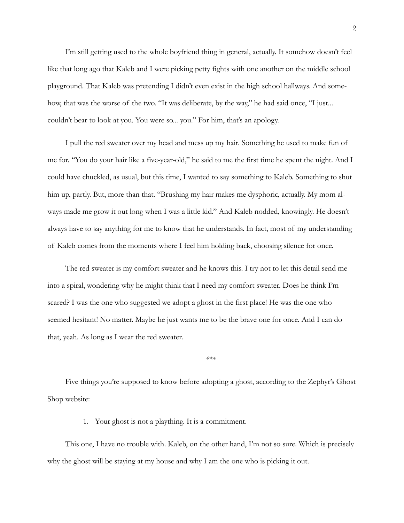I'm still getting used to the whole boyfriend thing in general, actually. It somehow doesn't feel like that long ago that Kaleb and I were picking petty fights with one another on the middle school playground. That Kaleb was pretending I didn't even exist in the high school hallways. And somehow, that was the worse of the two. "It was deliberate, by the way," he had said once, "I just... couldn't bear to look at you. You were so... you." For him, that's an apology.

I pull the red sweater over my head and mess up my hair. Something he used to make fun of me for. "You do your hair like a five-year-old," he said to me the first time he spent the night. And I could have chuckled, as usual, but this time, I wanted to say something to Kaleb. Something to shut him up, partly. But, more than that. "Brushing my hair makes me dysphoric, actually. My mom always made me grow it out long when I was a little kid." And Kaleb nodded, knowingly. He doesn't always have to say anything for me to know that he understands. In fact, most of my understanding of Kaleb comes from the moments where I feel him holding back, choosing silence for once.

The red sweater is my comfort sweater and he knows this. I try not to let this detail send me into a spiral, wondering why he might think that I need my comfort sweater. Does he think I'm scared? I was the one who suggested we adopt a ghost in the first place! He was the one who seemed hesitant! No matter. Maybe he just wants me to be the brave one for once. And I can do that, yeah. As long as I wear the red sweater.

*\*\*\**

Five things you're supposed to know before adopting a ghost, according to the Zephyr's Ghost Shop website:

1. Your ghost is not a plaything. It is a commitment.

This one, I have no trouble with. Kaleb, on the other hand, I'm not so sure. Which is precisely why the ghost will be staying at my house and why I am the one who is picking it out.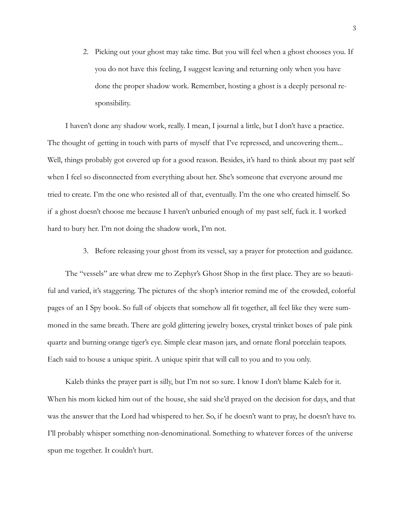2. Picking out your ghost may take time. But you will feel when a ghost chooses you. If you do not have this feeling, I suggest leaving and returning only when you have done the proper shadow work. Remember, hosting a ghost is a deeply personal responsibility.

I haven't done any shadow work, really. I mean, I journal a little, but I don't have a practice. The thought of getting in touch with parts of myself that I've repressed, and uncovering them... Well, things probably got covered up for a good reason. Besides, it's hard to think about my past self when I feel so disconnected from everything about her. She's someone that everyone around me tried to create. I'm the one who resisted all of that, eventually. I'm the one who created himself. So if a ghost doesn't choose me because I haven't unburied enough of my past self, fuck it. I worked hard to bury her. I'm not doing the shadow work, I'm not.

3. Before releasing your ghost from its vessel, say a prayer for protection and guidance.

The "vessels" are what drew me to Zephyr's Ghost Shop in the first place. They are so beautiful and varied, it's staggering. The pictures of the shop's interior remind me of the crowded, colorful pages of an I Spy book. So full of objects that somehow all fit together, all feel like they were summoned in the same breath. There are gold glittering jewelry boxes, crystal trinket boxes of pale pink quartz and burning orange tiger's eye. Simple clear mason jars, and ornate floral porcelain teapots. Each said to house a unique spirit. A unique spirit that will call to you and to you only.

Kaleb thinks the prayer part is silly, but I'm not so sure. I know I don't blame Kaleb for it. When his mom kicked him out of the house, she said she'd prayed on the decision for days, and that was the answer that the Lord had whispered to her. So, if he doesn't want to pray, he doesn't have to. I'll probably whisper something non-denominational. Something to whatever forces of the universe spun me together. It couldn't hurt.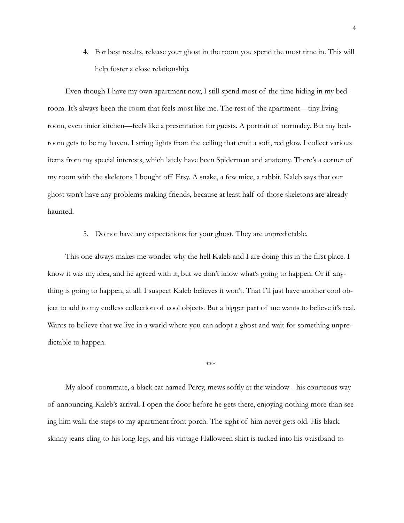4. For best results, release your ghost in the room you spend the most time in. This will help foster a close relationship.

Even though I have my own apartment now, I still spend most of the time hiding in my bedroom. It's always been the room that feels most like me. The rest of the apartment—tiny living room, even tinier kitchen—feels like a presentation for guests. A portrait of normalcy. But my bedroom gets to be my haven. I string lights from the ceiling that emit a soft, red glow. I collect various items from my special interests, which lately have been Spiderman and anatomy. There's a corner of my room with the skeletons I bought off Etsy. A snake, a few mice, a rabbit. Kaleb says that our ghost won't have any problems making friends, because at least half of those skeletons are already haunted.

## 5. Do not have any expectations for your ghost. They are unpredictable.

This one always makes me wonder why the hell Kaleb and I are doing this in the first place. I know it was my idea, and he agreed with it, but we don't know what's going to happen. Or if anything is going to happen, at all. I suspect Kaleb believes it won't. That I'll just have another cool object to add to my endless collection of cool objects. But a bigger part of me wants to believe it's real. Wants to believe that we live in a world where you can adopt a ghost and wait for something unpredictable to happen.

\*\*\*

My aloof roommate, a black cat named Percy, mews softly at the window-- his courteous way of announcing Kaleb's arrival. I open the door before he gets there, enjoying nothing more than seeing him walk the steps to my apartment front porch. The sight of him never gets old. His black skinny jeans cling to his long legs, and his vintage Halloween shirt is tucked into his waistband to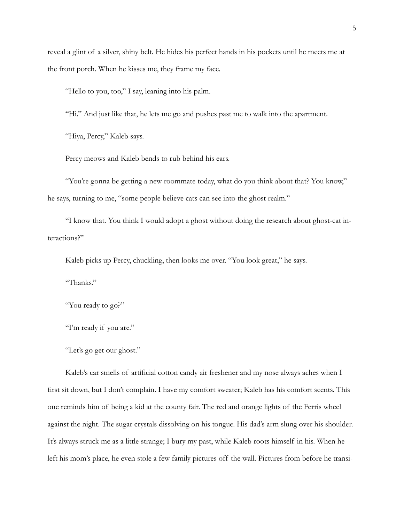reveal a glint of a silver, shiny belt. He hides his perfect hands in his pockets until he meets me at the front porch. When he kisses me, they frame my face.

"Hello to you, too," I say, leaning into his palm.

"Hi." And just like that, he lets me go and pushes past me to walk into the apartment.

"Hiya, Percy," Kaleb says.

Percy meows and Kaleb bends to rub behind his ears.

"You're gonna be getting a new roommate today, what do you think about that? You know," he says, turning to me, "some people believe cats can see into the ghost realm."

"I know that. You think I would adopt a ghost without doing the research about ghost-cat interactions?"

Kaleb picks up Percy, chuckling, then looks me over. "You look great," he says.

"Thanks."

"You ready to go?"

"I'm ready if you are."

"Let's go get our ghost."

Kaleb's car smells of artificial cotton candy air freshener and my nose always aches when I first sit down, but I don't complain. I have my comfort sweater; Kaleb has his comfort scents. This one reminds him of being a kid at the county fair. The red and orange lights of the Ferris wheel against the night. The sugar crystals dissolving on his tongue. His dad's arm slung over his shoulder. It's always struck me as a little strange; I bury my past, while Kaleb roots himself in his. When he left his mom's place, he even stole a few family pictures off the wall. Pictures from before he transi-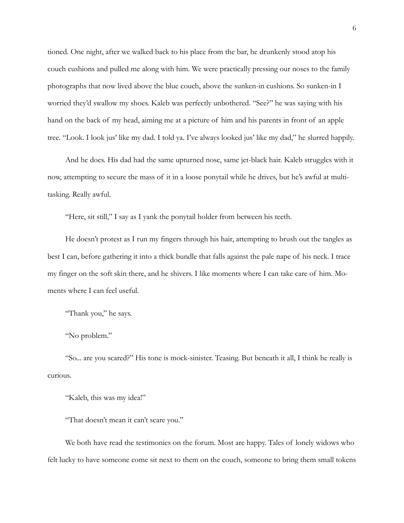tioned. One night, after we walked back to his place from the bar, he drunkenly stood atop his couch cushions and pulled me along with him. We were practically pressing our noses to the family photographs that now lived above the blue couch, above the sunken-in cushions. So sunken-in I worried they'd swallow my shoes. Kaleb was perfectly unbothered. "See?" he was saying with his hand on the back of my head, aiming me at a picture of him and his parents in front of an apple tree. "Look. I look jus' like my dad. I told ya. I've always looked jus' like my dad," he slurred happily.

And he does. His dad had the same upturned nose, same jet-black hair. Kaleb struggles with it now, attempting to secure the mass of it in a loose ponytail while he drives, but he's awful at multitasking. Really awful.

"Here, sit still," I say as I yank the ponytail holder from between his teeth.

He doesn't protest as I run my fingers through his hair, attempting to brush out the tangles as best I can, before gathering it into a thick bundle that falls against the pale nape of his neck. I trace my finger on the soft skin there, and he shivers. I like moments where I can take care of him. Moments where I can feel useful.

"Thank you," he says.

"No problem."

"So... are you scared?" His tone is mock-sinister. Teasing. But beneath it all, I think he really is curious.

"Kaleb, this was my idea!"

"That doesn't mean it can't scare you."

We both have read the testimonies on the forum. Most are happy. Tales of lonely widows who felt lucky to have someone come sit next to them on the couch, someone to bring them small tokens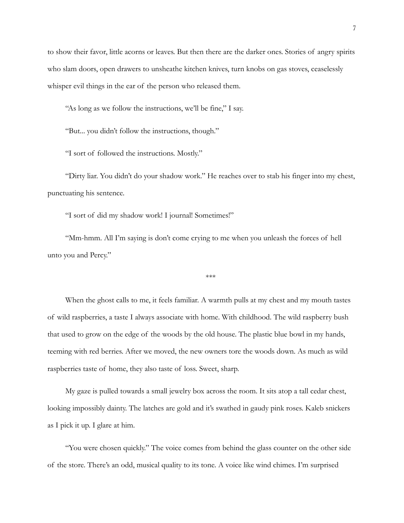to show their favor, little acorns or leaves. But then there are the darker ones. Stories of angry spirits who slam doors, open drawers to unsheathe kitchen knives, turn knobs on gas stoves, ceaselessly whisper evil things in the ear of the person who released them.

"As long as we follow the instructions, we'll be fine," I say.

"But... you didn't follow the instructions, though."

"I sort of followed the instructions. Mostly."

"Dirty liar. You didn't do your shadow work." He reaches over to stab his finger into my chest, punctuating his sentence.

"I sort of did my shadow work! I journal! Sometimes!"

"Mm-hmm. All I'm saying is don't come crying to me when you unleash the forces of hell unto you and Percy."

\*\*\*

When the ghost calls to me, it feels familiar. A warmth pulls at my chest and my mouth tastes of wild raspberries, a taste I always associate with home. With childhood. The wild raspberry bush that used to grow on the edge of the woods by the old house. The plastic blue bowl in my hands, teeming with red berries. After we moved, the new owners tore the woods down. As much as wild raspberries taste of home, they also taste of loss. Sweet, sharp.

My gaze is pulled towards a small jewelry box across the room. It sits atop a tall cedar chest, looking impossibly dainty. The latches are gold and it's swathed in gaudy pink roses. Kaleb snickers as I pick it up. I glare at him.

"You were chosen quickly." The voice comes from behind the glass counter on the other side of the store. There's an odd, musical quality to its tone. A voice like wind chimes. I'm surprised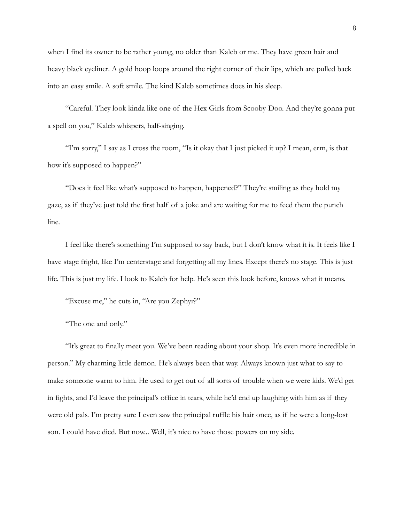when I find its owner to be rather young, no older than Kaleb or me. They have green hair and heavy black eyeliner. A gold hoop loops around the right corner of their lips, which are pulled back into an easy smile. A soft smile. The kind Kaleb sometimes does in his sleep.

"Careful. They look kinda like one of the Hex Girls from Scooby-Doo. And they're gonna put a spell on you," Kaleb whispers, half-singing.

"I'm sorry," I say as I cross the room, "Is it okay that I just picked it up? I mean, erm, is that how it's supposed to happen?"

"Does it feel like what's supposed to happen, happened?" They're smiling as they hold my gaze, as if they've just told the first half of a joke and are waiting for me to feed them the punch line.

I feel like there's something I'm supposed to say back, but I don't know what it is. It feels like I have stage fright, like I'm centerstage and forgetting all my lines. Except there's no stage. This is just life. This is just my life. I look to Kaleb for help. He's seen this look before, knows what it means.

"Excuse me," he cuts in, "Are you Zephyr?"

"The one and only."

"It's great to finally meet you. We've been reading about your shop. It's even more incredible in person." My charming little demon. He's always been that way. Always known just what to say to make someone warm to him. He used to get out of all sorts of trouble when we were kids. We'd get in fights, and I'd leave the principal's office in tears, while he'd end up laughing with him as if they were old pals. I'm pretty sure I even saw the principal ruffle his hair once, as if he were a long-lost son. I could have died. But now... Well, it's nice to have those powers on my side.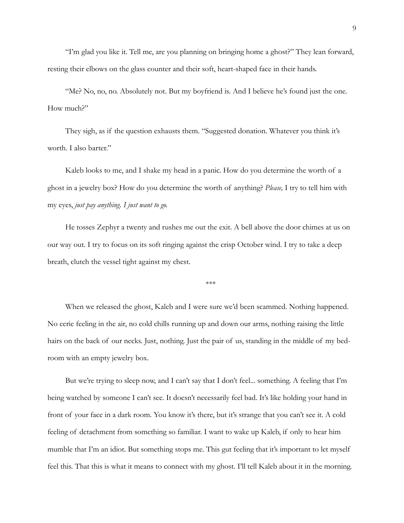"I'm glad you like it. Tell me, are you planning on bringing home a ghost?" They lean forward, resting their elbows on the glass counter and their soft, heart-shaped face in their hands.

"Me? No, no, no. Absolutely not. But my boyfriend is. And I believe he's found just the one. How much?"

They sigh, as if the question exhausts them. "Suggested donation. Whatever you think it's worth. I also barter."

Kaleb looks to me, and I shake my head in a panic. How do you determine the worth of a ghost in a jewelry box? How do you determine the worth of anything? *Please,* I try to tell him with my eyes, *just pay anything. I just want to go.*

He tosses Zephyr a twenty and rushes me out the exit. A bell above the door chimes at us on our way out. I try to focus on its soft ringing against the crisp October wind. I try to take a deep breath, clutch the vessel tight against my chest.

\*\*\*

When we released the ghost, Kaleb and I were sure we'd been scammed. Nothing happened. No eerie feeling in the air, no cold chills running up and down our arms, nothing raising the little hairs on the back of our necks. Just, nothing. Just the pair of us, standing in the middle of my bedroom with an empty jewelry box.

But we're trying to sleep now, and I can't say that I don't feel... something. A feeling that I'm being watched by someone I can't see. It doesn't necessarily feel bad. It's like holding your hand in front of your face in a dark room. You know it's there, but it's strange that you can't see it. A cold feeling of detachment from something so familiar. I want to wake up Kaleb, if only to hear him mumble that I'm an idiot. But something stops me. This gut feeling that it's important to let myself feel this. That this is what it means to connect with my ghost. I'll tell Kaleb about it in the morning.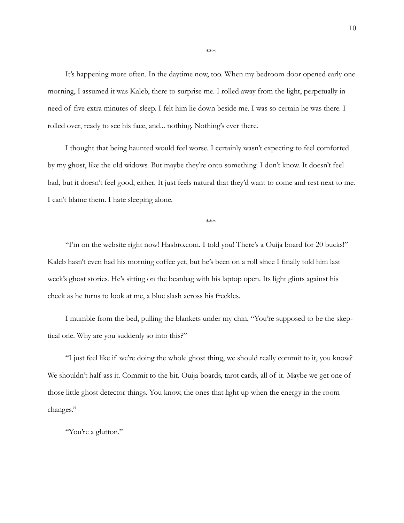It's happening more often. In the daytime now, too. When my bedroom door opened early one morning, I assumed it was Kaleb, there to surprise me. I rolled away from the light, perpetually in need of five extra minutes of sleep. I felt him lie down beside me. I was so certain he was there. I rolled over, ready to see his face, and... nothing. Nothing's ever there.

I thought that being haunted would feel worse. I certainly wasn't expecting to feel comforted by my ghost, like the old widows. But maybe they're onto something. I don't know. It doesn't feel bad, but it doesn't feel good, either. It just feels natural that they'd want to come and rest next to me. I can't blame them. I hate sleeping alone.

\*\*\*

"I'm on the website right now! Hasbro.com. I told you! There's a Ouija board for 20 bucks!" Kaleb hasn't even had his morning coffee yet, but he's been on a roll since I finally told him last week's ghost stories. He's sitting on the beanbag with his laptop open. Its light glints against his cheek as he turns to look at me, a blue slash across his freckles.

I mumble from the bed, pulling the blankets under my chin, "You're supposed to be the skeptical one. Why are you suddenly so into this?"

"I just feel like if we're doing the whole ghost thing, we should really commit to it, you know? We shouldn't half-ass it. Commit to the bit. Ouija boards, tarot cards, all of it. Maybe we get one of those little ghost detector things. You know, the ones that light up when the energy in the room changes."

"You're a glutton."

\*\*\*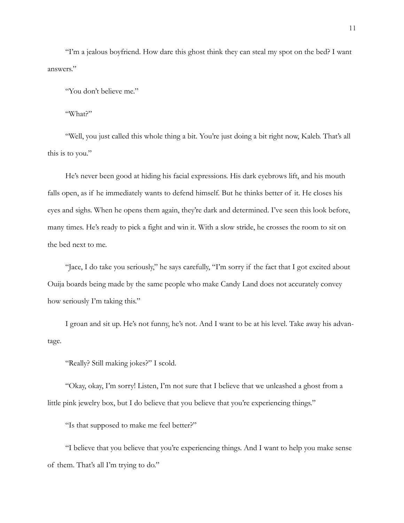"I'm a jealous boyfriend. How dare this ghost think they can steal my spot on the bed? I want answers."

"You don't believe me."

"What?"

"Well, you just called this whole thing a bit. You're just doing a bit right now, Kaleb. That's all this is to you."

He's never been good at hiding his facial expressions. His dark eyebrows lift, and his mouth falls open, as if he immediately wants to defend himself. But he thinks better of it. He closes his eyes and sighs. When he opens them again, they're dark and determined. I've seen this look before, many times. He's ready to pick a fight and win it. With a slow stride, he crosses the room to sit on the bed next to me.

"Jace, I do take you seriously," he says carefully, "I'm sorry if the fact that I got excited about Ouija boards being made by the same people who make Candy Land does not accurately convey how seriously I'm taking this."

I groan and sit up. He's not funny, he's not. And I want to be at his level. Take away his advantage.

"Really? Still making jokes?" I scold.

"Okay, okay, I'm sorry! Listen, I'm not sure that I believe that we unleashed a ghost from a little pink jewelry box, but I do believe that you believe that you're experiencing things."

"Is that supposed to make me feel better?"

"I believe that you believe that you're experiencing things. And I want to help you make sense of them. That's all I'm trying to do."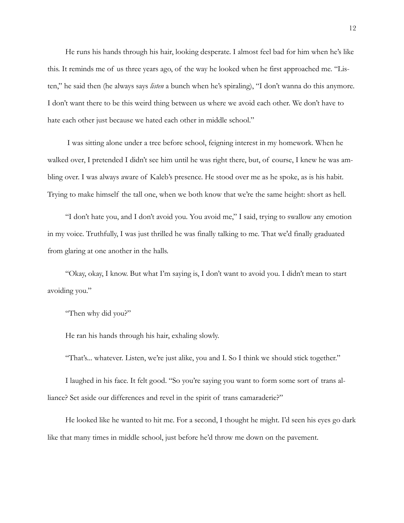He runs his hands through his hair, looking desperate. I almost feel bad for him when he's like this. It reminds me of us three years ago, of the way he looked when he first approached me. "Listen," he said then (he always says *listen* a bunch when he's spiraling), "I don't wanna do this anymore. I don't want there to be this weird thing between us where we avoid each other. We don't have to hate each other just because we hated each other in middle school."

 I was sitting alone under a tree before school, feigning interest in my homework. When he walked over, I pretended I didn't see him until he was right there, but, of course, I knew he was ambling over. I was always aware of Kaleb's presence. He stood over me as he spoke, as is his habit. Trying to make himself the tall one, when we both know that we're the same height: short as hell.

"I don't hate you, and I don't avoid you. You avoid me," I said, trying to swallow any emotion in my voice. Truthfully, I was just thrilled he was finally talking to me. That we'd finally graduated from glaring at one another in the halls.

"Okay, okay, I know. But what I'm saying is, I don't want to avoid you. I didn't mean to start avoiding you."

"Then why did you?"

He ran his hands through his hair, exhaling slowly.

"That's... whatever. Listen, we're just alike, you and I. So I think we should stick together."

I laughed in his face. It felt good. "So you're saying you want to form some sort of trans alliance? Set aside our differences and revel in the spirit of trans camaraderie?"

He looked like he wanted to hit me. For a second, I thought he might. I'd seen his eyes go dark like that many times in middle school, just before he'd throw me down on the pavement.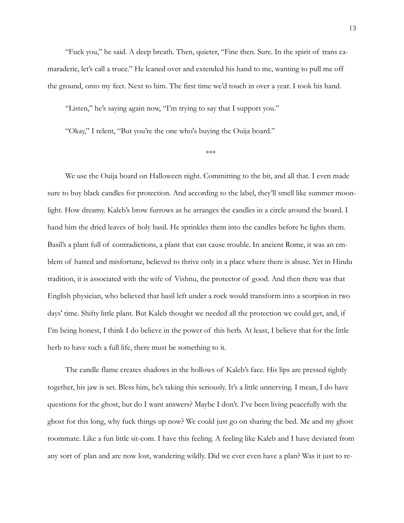"Fuck you," he said. A deep breath. Then, quieter, "Fine then. Sure. In the spirit of trans camaraderie, let's call a truce." He leaned over and extended his hand to me, wanting to pull me off the ground, onto my feet. Next to him. The first time we'd touch in over a year. I took his hand.

"Listen," he's saying again now, "I'm trying to say that I support you."

"Okay," I relent, "But you're the one who's buying the Ouija board."

\*\*\*

We use the Ouija board on Halloween night. Committing to the bit, and all that. I even made sure to buy black candles for protection. And according to the label, they'll smell like summer moonlight. How dreamy. Kaleb's brow furrows as he arranges the candles in a circle around the board. I hand him the dried leaves of holy basil. He sprinkles them into the candles before he lights them. Basil's a plant full of contradictions, a plant that can cause trouble. In ancient Rome, it was an emblem of hatred and misfortune, believed to thrive only in a place where there is abuse. Yet in Hindu tradition, it is associated with the wife of Vishnu, the protector of good. And then there was that English physician, who believed that basil left under a rock would transform into a scorpion in two days' time. Shifty little plant. But Kaleb thought we needed all the protection we could get, and, if I'm being honest, I think I do believe in the power of this herb. At least, I believe that for the little herb to have such a full life, there must be something to it.

The candle flame creates shadows in the hollows of Kaleb's face. His lips are pressed tightly together, his jaw is set. Bless him, he's taking this seriously. It's a little unnerving. I mean, I do have questions for the ghost, but do I want answers? Maybe I don't. I've been living peacefully with the ghost for this long, why fuck things up now? We could just go on sharing the bed. Me and my ghost roommate. Like a fun little sit-com. I have this feeling. A feeling like Kaleb and I have deviated from any sort of plan and are now lost, wandering wildly. Did we ever even have a plan? Was it just to re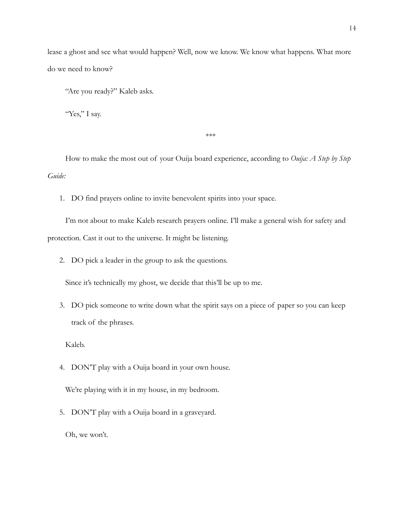lease a ghost and see what would happen? Well, now we know. We know what happens. What more do we need to know?

"Are you ready?" Kaleb asks.

"Yes," I say.

\*\*\*

How to make the most out of your Ouija board experience, according to *Ouija: A Step by Step Guide:*

1. DO find prayers online to invite benevolent spirits into your space.

I'm not about to make Kaleb research prayers online. I'll make a general wish for safety and protection. Cast it out to the universe. It might be listening.

2. DO pick a leader in the group to ask the questions.

Since it's technically my ghost, we decide that this'll be up to me.

3. DO pick someone to write down what the spirit says on a piece of paper so you can keep track of the phrases.

Kaleb.

4. DON'T play with a Ouija board in your own house.

We're playing with it in my house, in my bedroom.

5. DON'T play with a Ouija board in a graveyard.

Oh, we won't.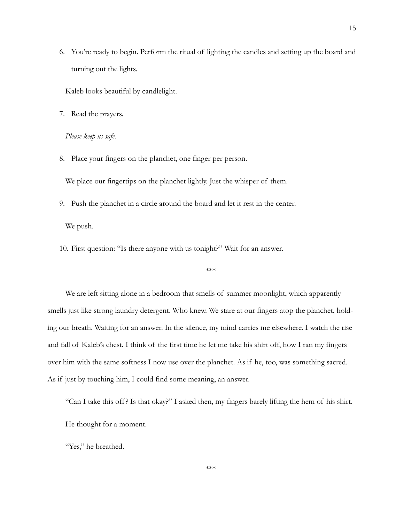6. You're ready to begin. Perform the ritual of lighting the candles and setting up the board and turning out the lights.

Kaleb looks beautiful by candlelight.

7. Read the prayers.

*Please keep us safe.*

8. Place your fingers on the planchet, one finger per person.

We place our fingertips on the planchet lightly. Just the whisper of them.

9. Push the planchet in a circle around the board and let it rest in the center.

We push.

10. First question: "Is there anyone with us tonight?" Wait for an answer.

\*\*\*

We are left sitting alone in a bedroom that smells of summer moonlight, which apparently smells just like strong laundry detergent. Who knew. We stare at our fingers atop the planchet, holding our breath. Waiting for an answer. In the silence, my mind carries me elsewhere. I watch the rise and fall of Kaleb's chest. I think of the first time he let me take his shirt off, how I ran my fingers over him with the same softness I now use over the planchet. As if he, too, was something sacred. As if just by touching him, I could find some meaning, an answer.

"Can I take this off? Is that okay?" I asked then, my fingers barely lifting the hem of his shirt. He thought for a moment.

"Yes," he breathed.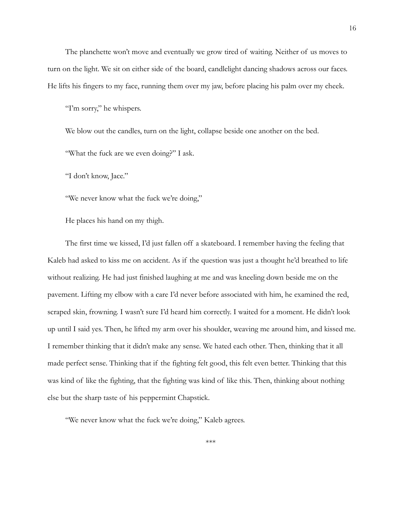The planchette won't move and eventually we grow tired of waiting. Neither of us moves to turn on the light. We sit on either side of the board, candlelight dancing shadows across our faces. He lifts his fingers to my face, running them over my jaw, before placing his palm over my cheek.

"I'm sorry," he whispers.

We blow out the candles, turn on the light, collapse beside one another on the bed.

"What the fuck are we even doing?" I ask.

"I don't know, Jace."

"We never know what the fuck we're doing,"

He places his hand on my thigh.

The first time we kissed, I'd just fallen off a skateboard. I remember having the feeling that Kaleb had asked to kiss me on accident. As if the question was just a thought he'd breathed to life without realizing. He had just finished laughing at me and was kneeling down beside me on the pavement. Lifting my elbow with a care I'd never before associated with him, he examined the red, scraped skin, frowning. I wasn't sure I'd heard him correctly. I waited for a moment. He didn't look up until I said yes. Then, he lifted my arm over his shoulder, weaving me around him, and kissed me. I remember thinking that it didn't make any sense. We hated each other. Then, thinking that it all made perfect sense. Thinking that if the fighting felt good, this felt even better. Thinking that this was kind of like the fighting, that the fighting was kind of like this. Then, thinking about nothing else but the sharp taste of his peppermint Chapstick.

"We never know what the fuck we're doing," Kaleb agrees.